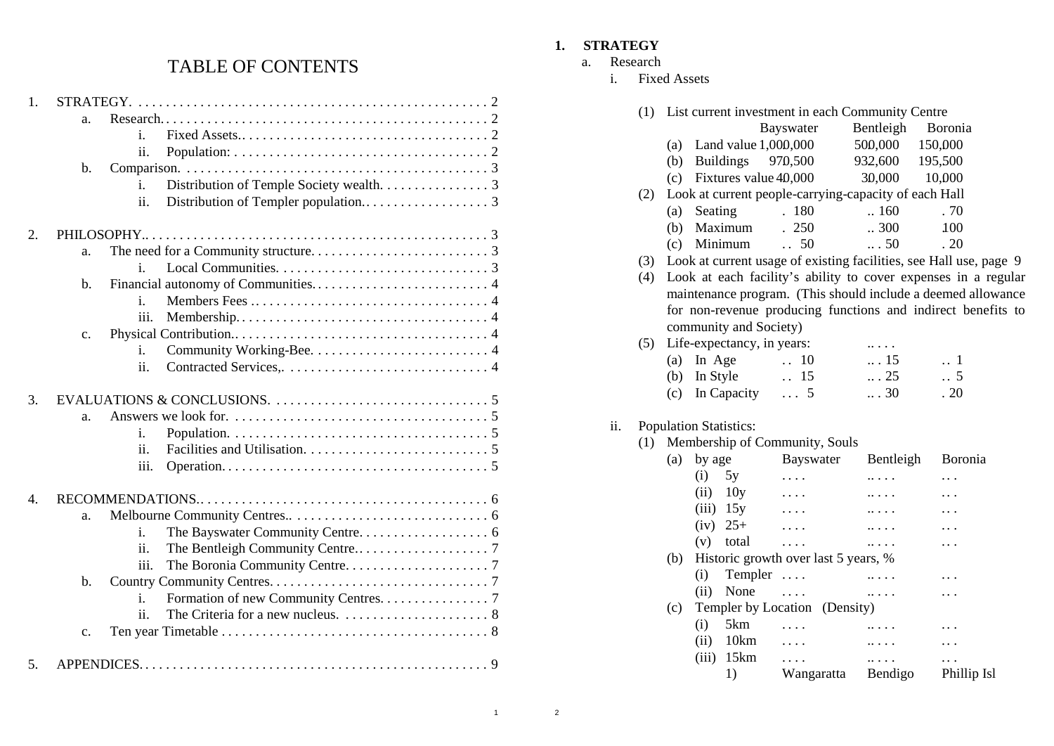# TABLE OF CONTENTS

| 1. | STRATEGY.      |                                             |
|----|----------------|---------------------------------------------|
|    | a.             |                                             |
|    |                | i.                                          |
|    |                | ii.                                         |
|    | b.             |                                             |
|    |                | i.                                          |
|    |                | ii.                                         |
|    |                |                                             |
| 2. |                |                                             |
|    | a.             |                                             |
|    |                | i.                                          |
|    | b.             |                                             |
|    |                | i.                                          |
|    |                | iii.                                        |
|    | c.             |                                             |
|    |                | i.                                          |
|    |                | ii.                                         |
|    |                |                                             |
| 3. |                |                                             |
|    | a.             |                                             |
|    |                | i.                                          |
|    |                | ii.                                         |
|    |                | iii.                                        |
|    |                |                                             |
| 4. |                |                                             |
|    | a.             |                                             |
|    |                | i.                                          |
|    |                | ii.                                         |
|    |                | iii.                                        |
|    | $\mathbf{b}$ . |                                             |
|    |                | Formation of new Community Centres. 7<br>i. |
|    |                | ii.                                         |
|    | c.             |                                             |
|    |                |                                             |
| 5. |                |                                             |

## **1. STRATEGY**

- a. Research
	- i. Fixed Assets

|     | (1) |      |                               | List current investment in each Community Centre      |                 |                                                                    |
|-----|-----|------|-------------------------------|-------------------------------------------------------|-----------------|--------------------------------------------------------------------|
|     |     |      |                               | Bayswater                                             | Bentleigh       | Boronia                                                            |
|     |     |      | (a) Land value $1,000,000$    |                                                       | 500,000         | 150,000                                                            |
|     |     |      | (b) Buildings $970,500$       |                                                       |                 |                                                                    |
|     |     |      |                               |                                                       | 932,600 195,500 |                                                                    |
|     |     |      | (c) Fixtures value $40,000$   |                                                       | 30,000 10,000   |                                                                    |
|     | (2) |      |                               | Look at current people-carrying-capacity of each Hall |                 |                                                                    |
|     |     | (a)  | Seating                       | . 180                                                 | .160            | .70                                                                |
|     |     | (b)  | Maximum                       | .250                                                  | .300            | 100                                                                |
|     |     | (c)  | Minimum                       | 50<br>$\ddot{\phantom{0}}$                            | $\dots 50$      | .20                                                                |
|     | (3) |      |                               |                                                       |                 | Look at current usage of existing facilities, see Hall use, page 9 |
|     | (4) |      |                               |                                                       |                 | Look at each facility's ability to cover expenses in a regular     |
|     |     |      |                               |                                                       |                 | maintenance program. (This should include a deemed allowance       |
|     |     |      |                               |                                                       |                 | for non-revenue producing functions and indirect benefits to       |
|     |     |      | community and Society)        |                                                       |                 |                                                                    |
|     | (5) |      | Life-expectancy, in years:    |                                                       |                 |                                                                    |
|     |     | (a)  | In Age                        | $\ldots$ 10                                           | $\ldots$ 15     | 1                                                                  |
|     |     | (b)  | In Style                      | $\therefore$ 15                                       | $\ldots$ 25     | $\ldots$ 5                                                         |
|     |     | (c)  | In Capacity                   | $\ldots 5$                                            | $\ldots$ 30     | .20                                                                |
|     |     |      |                               |                                                       |                 |                                                                    |
| ii. |     |      | <b>Population Statistics:</b> |                                                       |                 |                                                                    |
|     | (1) |      |                               | Membership of Community, Souls                        |                 |                                                                    |
|     |     | (a)  | by age                        | <b>Bayswater</b>                                      | Bentleigh       | Boronia                                                            |
|     |     | (i)  | 5y                            | $\cdots$                                              | .               |                                                                    |
|     |     |      | $(ii)$ 10y                    |                                                       |                 |                                                                    |
|     |     |      | $(iii)$ 15y                   | $\cdots$                                              |                 |                                                                    |
|     |     |      | $(iv) 25+$                    | .                                                     | $\ldots$        |                                                                    |
|     |     | (v)  | total                         | .                                                     |                 | .                                                                  |
|     |     | (b)  |                               | Historic growth over last 5 years, %                  |                 |                                                                    |
|     |     | (i)  | Templer                       |                                                       | $\ldots$        |                                                                    |
|     |     | (ii) | None                          | $\cdots$                                              |                 |                                                                    |
|     |     | (c)  |                               | Templer by Location (Density)                         |                 |                                                                    |
|     |     | (i)  | 5km                           |                                                       |                 |                                                                    |
|     |     |      | $(ii)$ 10 $km$                | .                                                     |                 |                                                                    |
|     |     |      | $(iii)$ 15 $km$               | $\cdots$                                              | $\cdots$        |                                                                    |
|     |     |      | 1)                            | Wangaratta Bendigo                                    |                 | Phillip Isl                                                        |
|     |     |      |                               |                                                       |                 |                                                                    |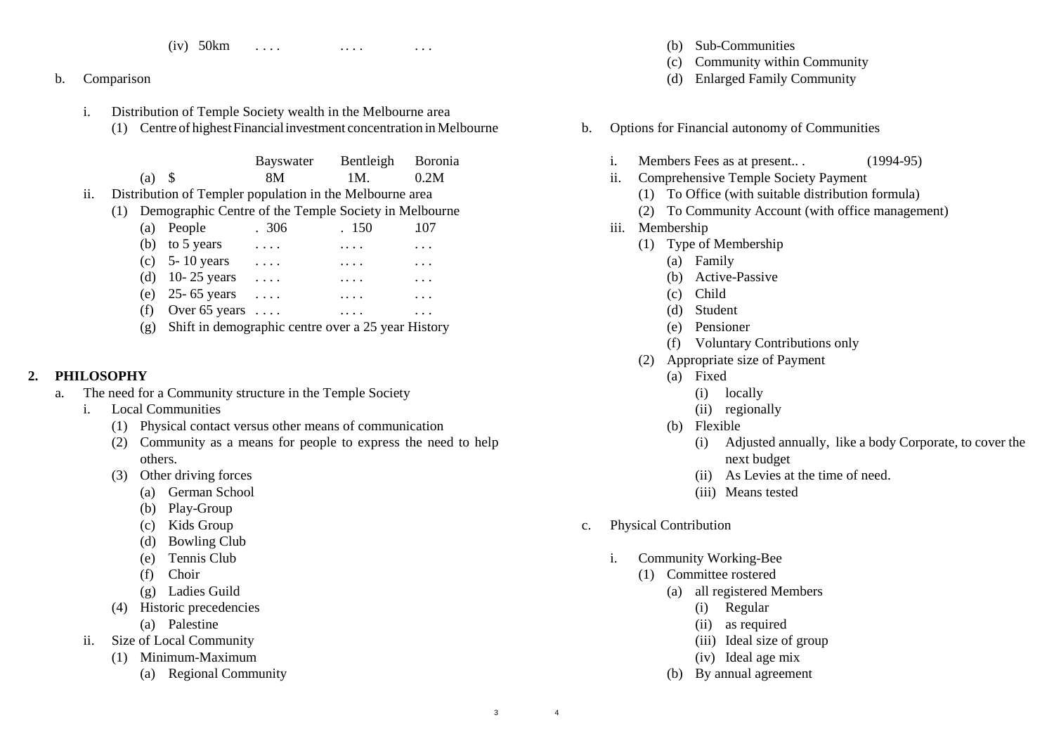- (iv)  $50 \text{km}$  .... ... ... ...
- b. Comparison
	- i. Distribution of Temple Society wealth in the Melbourne area
		- (1) Centre of highestFinancialinvestment concentration in Melbourne

|     |          | Bayswater                                                | Bentleigh | <b>Boronia</b> |
|-----|----------|----------------------------------------------------------|-----------|----------------|
|     | $(a)$ \$ | 8M                                                       | 1M.       | 0.2M           |
| ii. |          | Distribution of Templer population in the Melbourne area |           |                |

(1) Demographic Centre of the Temple Society in Melbourne

| (a) People                                             | .306     | .150                | 107      |
|--------------------------------------------------------|----------|---------------------|----------|
| (b) to 5 years                                         | $\cdots$ | $\cdots$            | .        |
| (c) $5 - 10$ years                                     | $\cdot$  | $\cdot \cdot \cdot$ | $\cdots$ |
| (d) $10 - 25$ years                                    | $\cdots$ | $\cdots$            | $\cdots$ |
| (e) 25-65 years $\dots$                                |          | $\cdots$            | $\cdots$ |
| (f) Over 65 years $\dots$                              |          |                     |          |
| (g) Shift in demographic centre over a 25 year History |          |                     |          |
|                                                        |          |                     |          |

#### **2. PHILOSOPHY**

- a. The need for a Community structure in the Temple Society
	- i. Local Communities
		- (1) Physical contact versus other means of communication
		- (2) Community as a means for people to express the need to help others.
		- (3) Other driving forces
			- (a) German School
			- (b) Play-Group
			- (c) Kids Group
			- (d) Bowling Club
			- (e) Tennis Club
			- (f) Choir
			- (g) Ladies Guild
		- (4) Historic precedencies
			- (a) Palestine
	- ii. Size of Local Community
		- (1) Minimum-Maximum
			- (a) Regional Community
- (b) Sub-Communities
- (c) Community within Community
- (d) Enlarged Family Community
- b. Options for Financial autonomy of Communities
	- i. Members Fees as at present.. . (1994-95)
	- ii. Comprehensive Temple Society Payment
		- (1) To Office (with suitable distribution formula)
		- (2) To Community Account (with office management)
	- iii. Membership
		- (1) Type of Membership
			- (a) Family
			- (b) Active-Passive
			- (c) Child
			- (d) Student
			- (e) Pensioner
			- (f) Voluntary Contributions only
		- (2) Appropriate size of Payment
			- (a) Fixed
				- (i) locally
				- (ii) regionally
			- (b) Flexible
				- (i) Adjusted annually, like a body Corporate, to cover the next budget
				- (ii) As Levies at the time of need.
				- (iii) Means tested
- c. Physical Contribution
	- i. Community Working-Bee
		- (1) Committee rostered
			- (a) all registered Members
				- (i) Regular
				- (ii) as required
				- (iii) Ideal size of group
				- (iv) Ideal age mix
			- (b) By annual agreement

4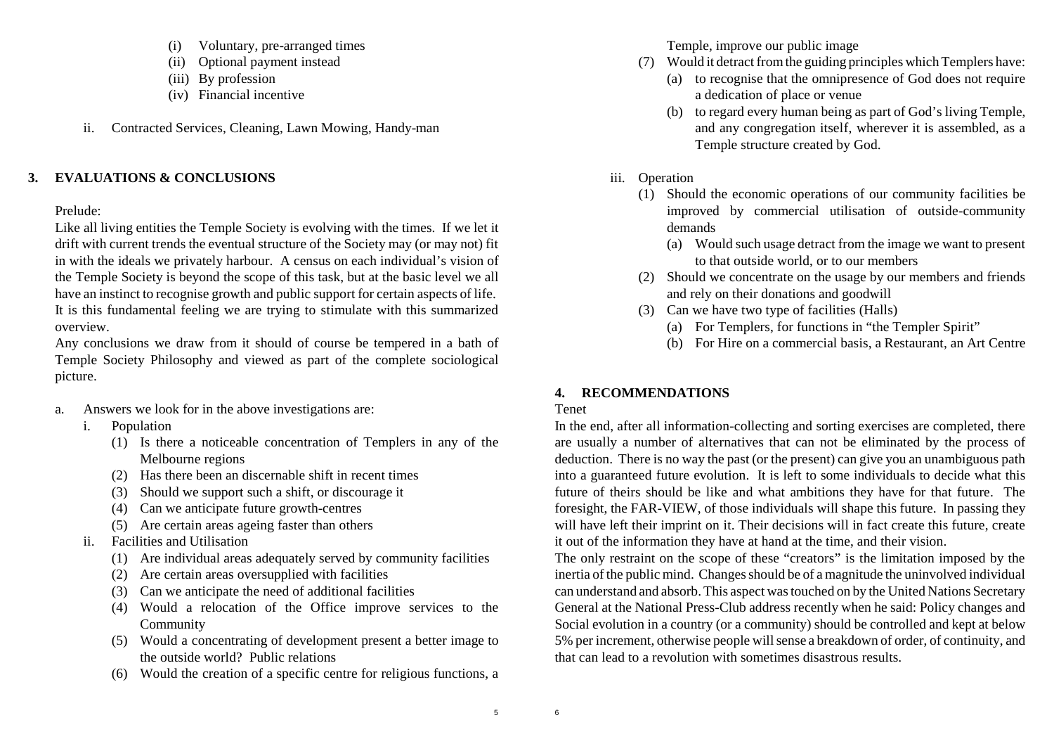- (i) Voluntary, pre-arranged times
- (ii) Optional payment instead
- (iii) By profession
- (iv) Financial incentive
- ii. Contracted Services, Cleaning, Lawn Mowing, Handy-man

## **3. EVALUATIONS & CONCLUSIONS**

### Prelude:

Like all living entities the Temple Society is evolving with the times. If we let it drift with current trends the eventual structure of the Society may (or may not) fit in with the ideals we privately harbour. A census on each individual's vision of the Temple Society is beyond the scope of this task, but at the basic level we all have an instinct to recognise growth and public support for certain aspects of life. It is this fundamental feeling we are trying to stimulate with this summarized overview.

Any conclusions we draw from it should of course be tempered in a bath of Temple Society Philosophy and viewed as part of the complete sociological picture.

- a. Answers we look for in the above investigations are:
	- i. Population
		- (1) Is there a noticeable concentration of Templers in any of the Melbourne regions
		- (2) Has there been an discernable shift in recent times
		- (3) Should we support such a shift, or discourage it
		- (4) Can we anticipate future growth-centres
		- (5) Are certain areas ageing faster than others
	- ii. Facilities and Utilisation
		- (1) Are individual areas adequately served by community facilities
		- (2) Are certain areas oversupplied with facilities
		- (3) Can we anticipate the need of additional facilities
		- (4) Would a relocation of the Office improve services to the Community
		- (5) Would a concentrating of development present a better image to the outside world? Public relations
		- (6) Would the creation of a specific centre for religious functions, a

Temple, improve our public image

- (7) Would it detract from the guiding principles which Templers have:
	- (a) to recognise that the omnipresence of God does not require a dedication of place or venue
	- (b) to regard every human being as part of God's living Temple, and any congregation itself, wherever it is assembled, as a Temple structure created by God.
- iii. Operation
	- (1) Should the economic operations of our community facilities be improved by commercial utilisation of outside-community demands
		- (a) Would such usage detract from the image we want to present to that outside world, or to our members
	- (2) Should we concentrate on the usage by our members and friends and rely on their donations and goodwill
	- (3) Can we have two type of facilities (Halls)
		- (a) For Templers, for functions in "the Templer Spirit"
		- (b) For Hire on a commercial basis, a Restaurant, an Art Centre

# **4. RECOMMENDATIONS**

### Tenet

In the end, after all information-collecting and sorting exercises are completed, there are usually a number of alternatives that can not be eliminated by the process of deduction. There is no way the past (or the present) can give you an unambiguous path into a guaranteed future evolution. It is left to some individuals to decide what this future of theirs should be like and what ambitions they have for that future. The foresight, the FAR-VIEW, of those individuals will shape this future. In passing they will have left their imprint on it. Their decisions will in fact create this future, create it out of the information they have at hand at the time, and their vision.

The only restraint on the scope of these "creators" is the limitation imposed by the inertia of the public mind. Changes should be of a magnitude the uninvolved individual can understand and absorb. This aspect was touched on by the United Nations Secretary General at the National Press-Club address recently when he said: Policy changes and Social evolution in a country (or a community) should be controlled and kept at below 5% per increment, otherwise people will sense a breakdown of order, of continuity, and that can lead to a revolution with sometimes disastrous results.

6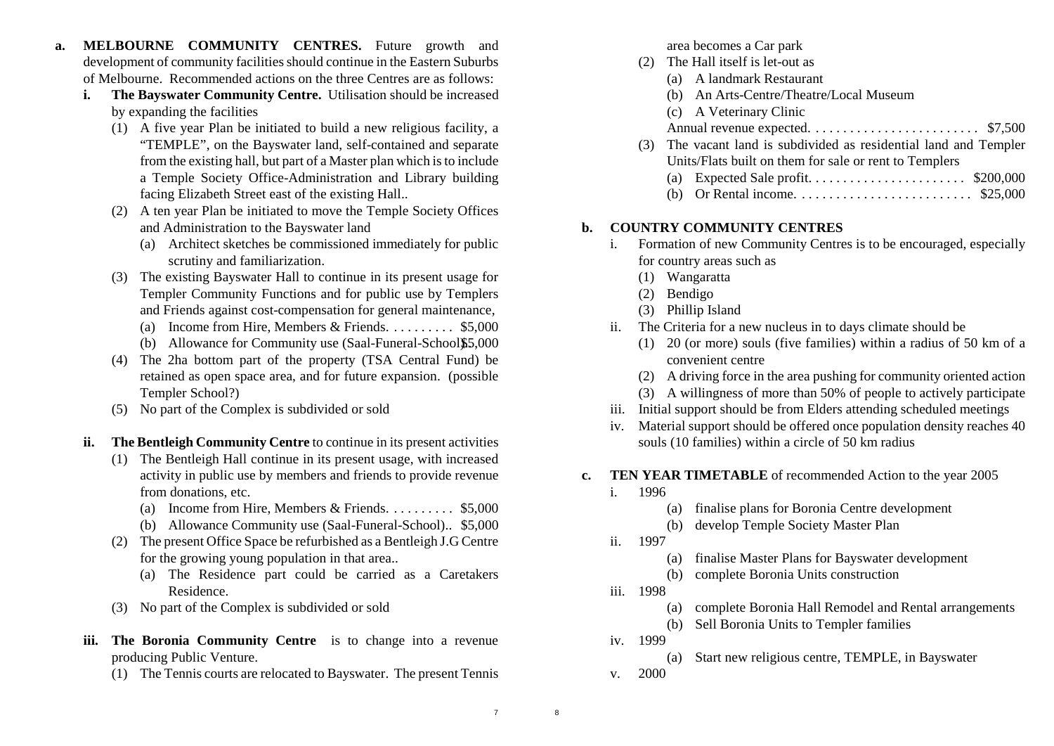- **a. MELBOURNE COMMUNITY CENTRES.** Future growth and development of community facilities should continue in the Eastern Suburbs of Melbourne. Recommended actions on the three Centres are as follows:
	- **i. The Bayswater Community Centre.** Utilisation should be increased by expanding the facilities
		- (1) A five year Plan be initiated to build a new religious facility, a "TEMPLE", on the Bayswater land, self-contained and separate from the existing hall, but part of a Master plan which is to include a Temple Society Office-Administration and Library building facing Elizabeth Street east of the existing Hall..
		- (2) A ten year Plan be initiated to move the Temple Society Offices and Administration to the Bayswater land
			- (a) Architect sketches be commissioned immediately for public scrutiny and familiarization.
		- (3) The existing Bayswater Hall to continue in its present usage for Templer Community Functions and for public use by Templers and Friends against cost-compensation for general maintenance,
			- (a) Income from Hire, Members & Friends. . . . . . . . . . \$5,000
			- (b) Allowance for Community use  $(Saal-Funeral-School \$5.000)$
		- (4) The 2ha bottom part of the property (TSA Central Fund) be retained as open space area, and for future expansion. (possible Templer School?)
		- (5) No part of the Complex is subdivided or sold
	- **ii. The Bentleigh Community Centre** to continue in its present activities
		- (1) The Bentleigh Hall continue in its present usage, with increased activity in public use by members and friends to provide revenue from donations, etc.
			- (a) Income from Hire, Members & Friends. . . . . . . . . \$5,000
			- (b) Allowance Community use (Saal-Funeral-School).. \$5,000
		- (2) The present Office Space be refurbished as a Bentleigh J.G Centre for the growing young population in that area..
			- (a) The Residence part could be carried as a Caretakers Residence.
		- (3) No part of the Complex is subdivided or sold
	- **iii. The Boronia Community Centre** is to change into a revenue producing Public Venture.
		- (1) The Tennis courts are relocated to Bayswater. The present Tennis

area becomes a Car park

- (2) The Hall itself is let-out as
	- (a) A landmark Restaurant
	- (b) An Arts-Centre/Theatre/Local Museum
	- (c) A Veterinary Clinic
	- Annual revenue expected. . . . . . . . . . . . . . . . . . . . . . . . . \$7,500
- (3) The vacant land is subdivided as residential land and Templer Units/Flats built on them for sale or rent to Templers
	- (a) Expected Sale profit. . . . . . . . . . . . . . . . . . . . . . . \$200,000
	- (b) Or Rental income. . . . . . . . . . . . . . . . . . . . . . . . . . \$25,000

### **b. COUNTRY COMMUNITY CENTRES**

- i. Formation of new Community Centres is to be encouraged, especially for country areas such as
	- (1) Wangaratta
	- (2) Bendigo
	- (3) Phillip Island
- ii. The Criteria for a new nucleus in to days climate should be
	- (1) 20 (or more) souls (five families) within a radius of 50 km of a convenient centre
	- (2) A driving force in the area pushing for community oriented action
	- (3) A willingness of more than 50% of people to actively participate
- iii. Initial support should be from Elders attending scheduled meetings
- iv. Material support should be offered once population density reaches 40 souls (10 families) within a circle of 50 km radius

#### **c. TEN YEAR TIMETABLE** of recommended Action to the year 2005

- i. 1996
	- (a) finalise plans for Boronia Centre development
	- (b) develop Temple Society Master Plan
- ii. 1997
	- (a) finalise Master Plans for Bayswater development
	- (b) complete Boronia Units construction
- iii. 1998
	- (a) complete Boronia Hall Remodel and Rental arrangements
	- (b) Sell Boronia Units to Templer families
- iv. 1999

(a) Start new religious centre, TEMPLE, in Bayswater

v. 2000

8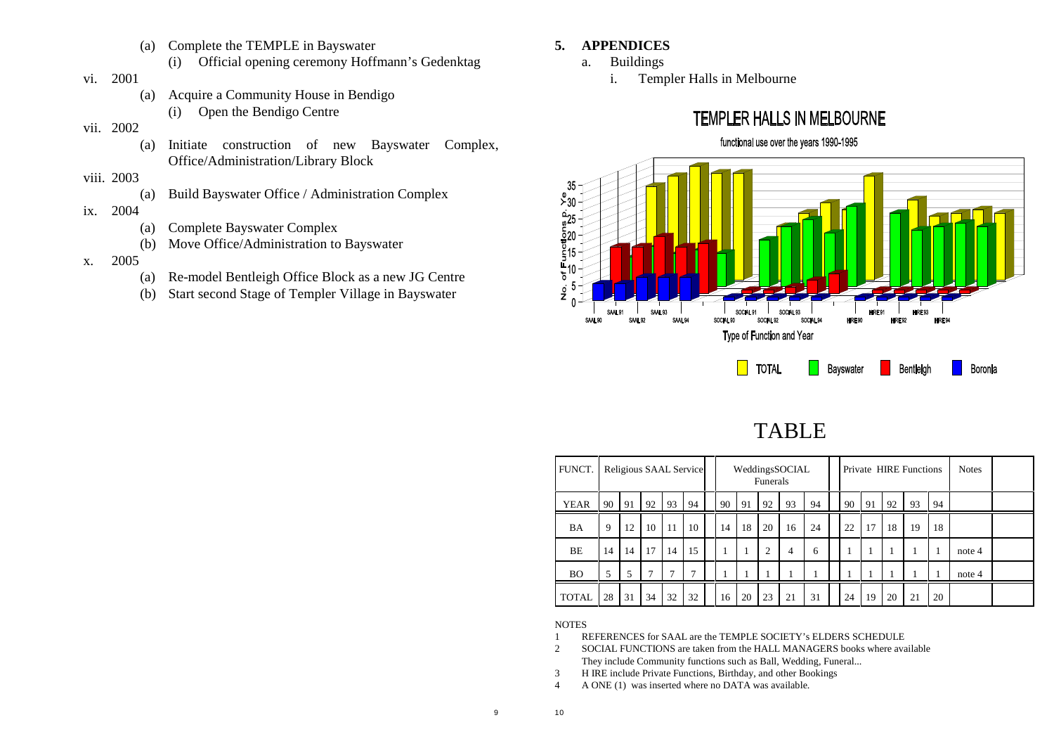- (a) Complete the TEMPLE in Bayswater
	- (i) Official opening ceremony Hoffmann's Gedenktag
- vi. 2001
	- (a) Acquire a Community House in Bendigo
		- (i) Open the Bendigo Centre
- vii. 2002
	- (a) Initiate construction of new Bayswater Complex, Office/Administration/Library Block
- viii. 2003
	- (a) Build Bayswater Office / Administration Complex
- ix. 2004
	- (a) Complete Bayswater Complex
	- (b) Move Office/Administration to Bayswater
- x. 2005
	- (a) Re-model Bentleigh Office Block as a new JG Centre
	- (b) Start second Stage of Templer Village in Bayswater

### **5. APPENDICES**

- a. Buildings
	- i. Templer Halls in Melbourne



# TABLE

| FUNCT.       | Religious SAAL Service |    |    |    |    |    | Funerals | WeddingsSOCIAL |    |    |          |    | Private HIRE Functions |    | <b>Notes</b> |        |  |
|--------------|------------------------|----|----|----|----|----|----------|----------------|----|----|----------|----|------------------------|----|--------------|--------|--|
| <b>YEAR</b>  | 90                     | 91 | 92 | 93 | 94 | 90 | 91       | 92             | 93 | 94 | 90       | 91 | 92                     | 93 | 94           |        |  |
| BA           | 9                      | 12 | 10 | 11 | 10 | 14 | 18       | 20             | 16 | 24 | 22       | 17 | 18                     | 19 | 18           |        |  |
| BE           | 14                     | 14 | 17 | 14 | 15 |    |          | $\overline{c}$ | 4  | 6  | $\bf{1}$ |    |                        |    | л.           | note 4 |  |
| <b>BO</b>    | 5                      | 5  | 7  | ⇁  | ⇁  |    |          |                |    |    | 1        |    |                        |    |              | note 4 |  |
| <b>TOTAL</b> | 28                     | 31 | 34 | 32 | 32 | 16 | 20       | 23             | 21 | 31 | 24       | 19 | 20                     | 21 | 20           |        |  |

#### **NOTES**

10

- 1 REFERENCES for SAAL are the TEMPLE SOCIETY's ELDERS SCHEDULE
- 2 SOCIAL FUNCTIONS are taken from the HALL MANAGERS books where available They include Community functions such as Ball, Wedding, Funeral...
- 3 H IRE include Private Functions, Birthday, and other Bookings
- 4 A ONE (1) was inserted where no DATA was available.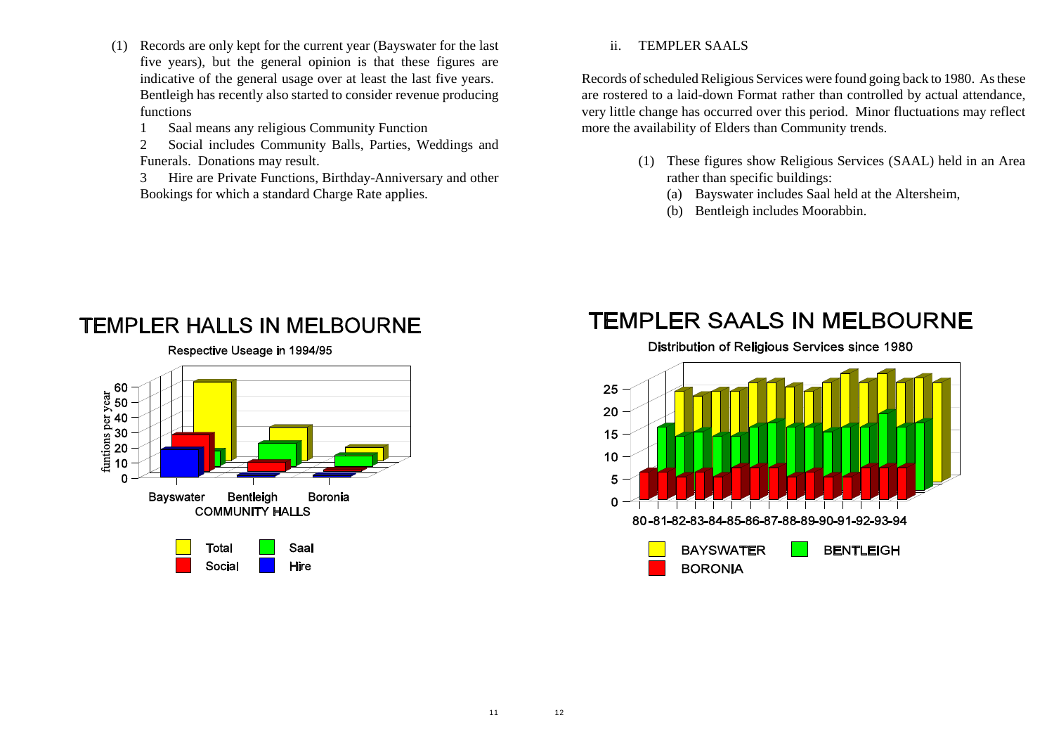- (1) Records are only kept for the current year (Bayswater for the last five years), but the general opinion is that these figures are indicative of the general usage over at least the last five years. Bentleigh has recently also started to consider revenue producing functions
	- 1 Saal means any religious Community Function
	- 2 Social includes Community Balls, Parties, Weddings and Funerals. Donations may result.

3 Hire are Private Functions, Birthday-Anniversary and other Bookings for which a standard Charge Rate applies.

#### ii. TEMPLER SAALS

Records of scheduled Religious Services were found going back to 1980. As these are rostered to a laid-down Format rather than controlled by actual attendance, very little change has occurred over this period. Minor fluctuations may reflect more the availability of Elders than Community trends.

- (1) These figures show Religious Services (SAAL) held in an Area rather than specific buildings:
	- (a) Bayswater includes Saal held at the Altersheim,
	- (b) Bentleigh includes Moorabbin.



# **TEMPLER HALLS IN MELBOURNE**

# **TEMPLER SAALS IN MELBOURNE**

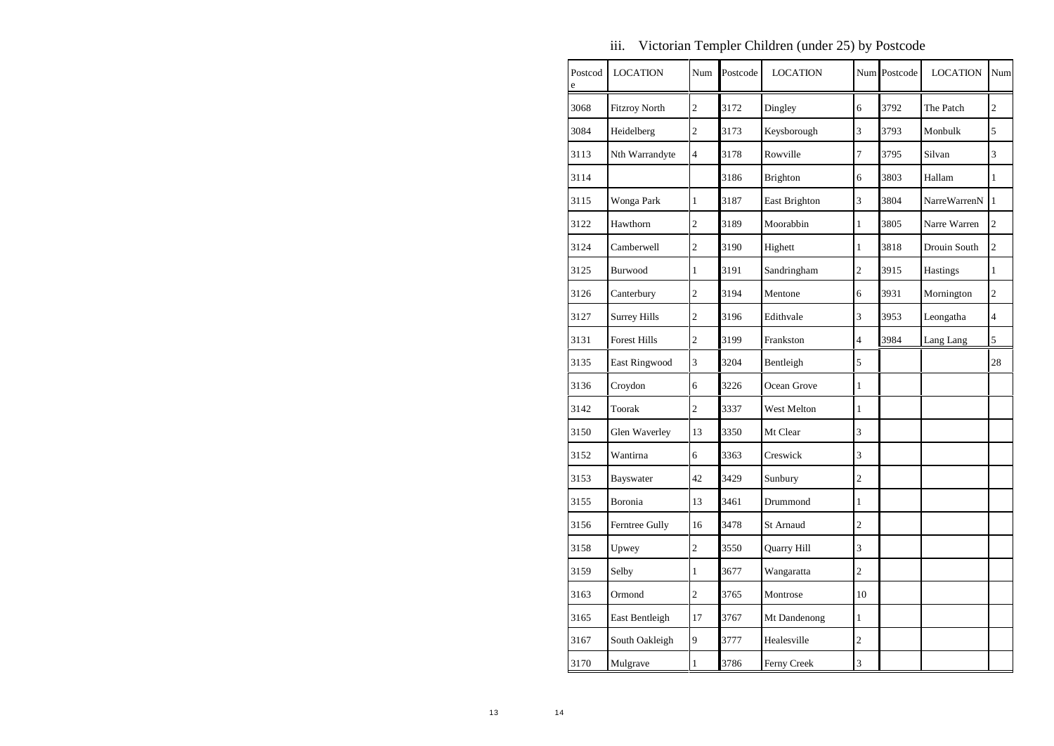| Postcod<br>e | <b>LOCATION</b>      | Num            | Postcode | <b>LOCATION</b> |                | Num Postcode | <b>LOCATION</b> | Num            |
|--------------|----------------------|----------------|----------|-----------------|----------------|--------------|-----------------|----------------|
| 3068         | <b>Fitzroy North</b> | $\overline{c}$ | 3172     | Dingley         | 6              | 3792         | The Patch       | $\overline{c}$ |
| 3084         | Heidelberg           | $\overline{c}$ | 3173     | Keysborough     | 3              | 3793         | Monbulk         | 5              |
| 3113         | Nth Warrandyte       | $\overline{4}$ | 3178     | Rowville        | 7              | 3795         | Silvan          | 3              |
| 3114         |                      |                | 3186     | Brighton        | 6              | 3803         | Hallam          | 1              |
| 3115         | Wonga Park           | $\mathbf{1}$   | 3187     | East Brighton   | 3              | 3804         | NarreWarrenN    | $\mathbf{1}$   |
| 3122         | Hawthorn             | $\overline{2}$ | 3189     | Moorabbin       | $\mathbf{1}$   | 3805         | Narre Warren    | $\overline{2}$ |
| 3124         | Camberwell           | $\overline{2}$ | 3190     | Highett         | $\mathbf{1}$   | 3818         | Drouin South    | $\overline{2}$ |
| 3125         | Burwood              | $\mathbf{1}$   | 3191     | Sandringham     | $\overline{c}$ | 3915         | Hastings        | $\mathbf{1}$   |
| 3126         | Canterbury           | $\overline{2}$ | 3194     | Mentone         | 6              | 3931         | Mornington      | $\overline{2}$ |
| 3127         | <b>Surrey Hills</b>  | $\overline{c}$ | 3196     | Edithvale       | 3              | 3953         | Leongatha       | $\overline{4}$ |
| 3131         | <b>Forest Hills</b>  | $\overline{2}$ | 3199     | Frankston       | $\overline{4}$ | 3984         | Lang Lang       | 5              |
| 3135         | East Ringwood        | 3              | 3204     | Bentleigh       | 5              |              |                 | 28             |
| 3136         | Croydon              | 6              | 3226     | Ocean Grove     | $\mathbf{1}$   |              |                 |                |
| 3142         | Toorak               | $\overline{2}$ | 3337     | West Melton     | $\mathbf{1}$   |              |                 |                |
| 3150         | Glen Waverley        | 13             | 3350     | Mt Clear        | 3              |              |                 |                |
| 3152         | Wantirna             | 6              | 3363     | Creswick        | 3              |              |                 |                |
| 3153         | Bayswater            | 42             | 3429     | Sunbury         | $\overline{c}$ |              |                 |                |
| 3155         | Boronia              | 13             | 3461     | Drummond        | $\mathbf{1}$   |              |                 |                |
| 3156         | Ferntree Gully       | 16             | 3478     | St Arnaud       | $\overline{c}$ |              |                 |                |
| 3158         | Upwey                | $\overline{c}$ | 3550     | Quarry Hill     | 3              |              |                 |                |
| 3159         | Selby                | $\mathbf{1}$   | 3677     | Wangaratta      | $\overline{c}$ |              |                 |                |
| 3163         | Ormond               | $\overline{c}$ | 3765     | Montrose        | 10             |              |                 |                |
| 3165         | East Bentleigh       | 17             | 3767     | Mt Dandenong    | $\mathbf{1}$   |              |                 |                |
| 3167         | South Oakleigh       | 9              | 3777     | Healesville     | $\overline{c}$ |              |                 |                |
| 3170         | Mulgrave             | $\mathbf{1}$   | 3786     | Ferny Creek     | 3              |              |                 |                |

iii. Victorian Templer Children (under 25) by Postcode